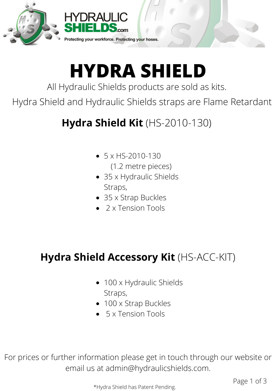



# **HYDRA SHIELD**

All Hydraulic Shields products are sold as kits.

Hydra Shield and Hydraulic Shields straps are Flame Retardant

### **Hydra Shield Kit** (HS-2010-130)

- $\bullet$  5 x HS-2010-130 (1.2 metre pieces)
- 35 x Hydraulic Shields Straps,
- 35 x Strap Buckles
- 2 x Tension Tools

#### **Hydra Shield Accessory Kit** (HS-ACC-KIT)

- 100 x Hydraulic Shields Straps,
- 100 x Strap Buckles
- 5 x Tension Tools

For prices or further information please get in touch through our website or email us at admin@hydraulicshields.com.

\*Hydra Shield has Patent Pending.

Page 1 of 3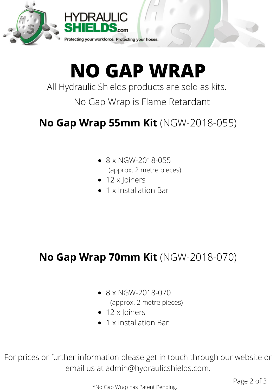



# **NO GAP WRAP**

All Hydraulic Shields products are sold as kits.

No Gap Wrap is Flame Retardant

### **No Gap Wrap 55mm Kit** (NGW-2018-055)

- $\bullet$  8 x NGW-2018-055 (approx. 2 metre pieces)
- $\bullet$  12 x Joiners
- 1 x Installation Bar

#### **No Gap Wrap 70mm Kit** (NGW-2018-070)

- $\bullet$  8 x NGW-2018-070 (approx. 2 metre pieces)
- 12 x Joiners
- 1 x Installation Bar

For prices or further information please get in touch through our website or email us at admin@hydraulicshields.com.

\*No Gap Wrap has Patent Pending.

Page 2 of 3